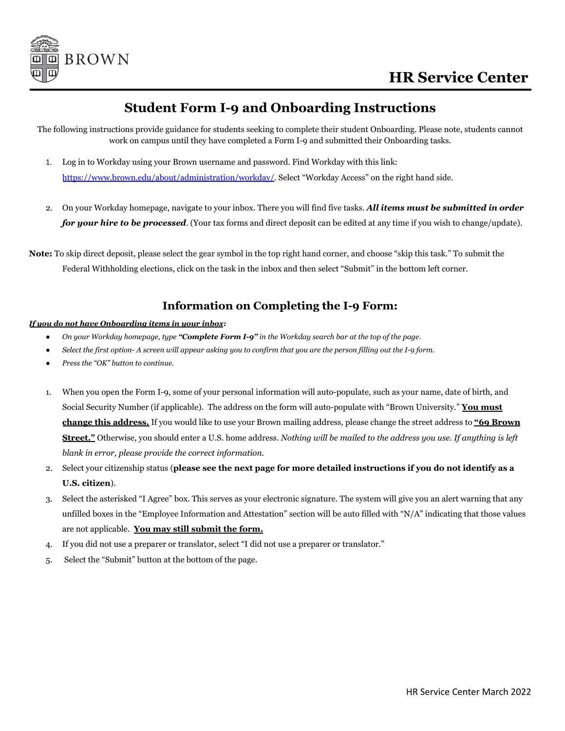

## **Student Form I-9 and Onboarding Instructions**

The following instructions provide guidance for students seeking to complete their student Onboarding. Please note, students cannot work on campus until they have completed a Form I-9 and submitted their Onboarding tasks.

- 1. Log in to Workday using your Brown username and password. Find Workday with this link: <https://www.brown.edu/about/administration/workday/>. Select "Workday Access" on the right hand side.
- 2. On your Workday homepage, navigate to your inbox. There you will find five tasks. *All items must be submitted in order for your hire to be processed*. (Your tax forms and direct deposit can be edited at any time if you wish to change/update).

**Note:** To skip direct deposit, please select the gear symbol in the top right hand corner, and choose "skip this task." To submit the Federal Withholding elections, click on the task in the inbox and then select "Submit" in the bottom left corner.

## **Information on Completing the I-9 Form:**

#### *If you do not have Onboarding items in your inbox:*

- On your Workday homepage, type "Complete Form I-9" in the Workday search bar at the top of the page.
- Select the first option- A screen will appear asking you to confirm that you are the person filling out the I-9 form.
- *● Press the "OK" button to continue.*
- 1. When you open the Form I-9, some of your personal information will auto-populate, such as your name, date of birth, and Social Security Number (if applicable). The address on the form will auto-populate with "Brown University." **You must change this address.** If you would like to use your Brown mailing address, please change the street address to **"69 Brown Street."** Otherwise, you should enter a U.S. home address. *Nothing will be mailed to the address you use. If anything is left blank in error, please provide the correct information.*
- 2. Select your citizenship status (**please see the next page for more detailed instructions if you do not identify as a U.S. citizen**).
- 3. Select the asterisked "I Agree" box. This serves as your electronic signature. The system will give you an alert warning that any unfilled boxes in the "Employee Information and Attestation" section will be auto filled with "N/A" indicating that those values are not applicable. **You may still submit the form.**
- 4. If you did not use a preparer or translator, select "I did not use a preparer or translator."
- 5. Select the "Submit" button at the bottom of the page.